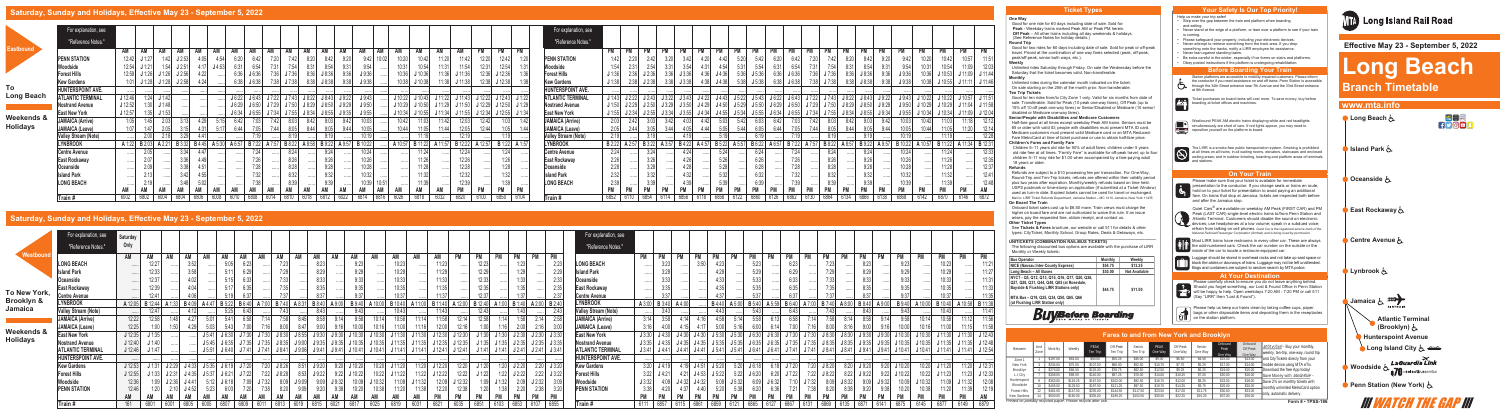### **One Way**

Good for one ride for 60 days including date of sale. Sold for: **Peak** - Weekday trains marked Peak AM or Peak PM herein.  **Off Peak** – All other trains including all day weekends & holidays. (See Reference Notes for holiday details.)

### **Round Trip**

Good for two rides for 60 days including date of sale. Sold for peak or off-peak travel. Priced at the combination of one way fares selected (peak, off-peak, peak/off-peak, senior both ways, etc.).

**Weekly** Unlimited rides Saturday through Friday. On sale the Wednesday before the Saturday that the ticket becomes valid. Non-transferable. **Monthly**

Unlimited rides during the calendar month indicated on the ticket. On sale starting on the 25th of the month prior. Non-transferable. **Ten Trip Tickets**

old ride free at all times. "Family Fare" is available for off-peak travel; up to four children 5–11 may ride for \$1.00 when accompanied by a fare-paying adult 18 years or older.

Good for ten rides from/to City Zone 1 only. Valid for six months from date of sale. Transferable. Sold for Peak (10 peak one-way fares), Off Peak (up to 15% off 10 off peak one way fares) or Senior/Disabled or Medicare (10 senior/ disabled or Medicare one-way fares).

### **Senior/People with Disabilities and Medicare Customers**

Half-fare good at all times except weekday Peak AM trains. Seniors must be 65 or older with valid ID; people with disabilities must present MTA ID card. Medicare customers must present valid Medicare card or an MTA Reduced-Fare MetroCard at time of ticket purchase or use to obtain half-fare price. **Children's Fares and Family Fare**

Children 5–11 years old ride for 50% of adult fares; children under 5 years

### **Refunds**

Please make sure that your ticket is available for immediate **Presentation to the conductor.** If you change seats or trains en route, hold on to your ticket for presentation to avoid paying an additional<br>fare. On trains that stop of lamping (1) with the distributional fare. On trains that stop at Jamaica, tickets are inspected both before and after the Jamaica stop.

Refunds are subject to a \$10 processing fee per transaction. For One-Way, Round-Trip and Ten-Trip tickets, refunds are offered within their validity period plus two years after expiration. Monthly/weekly refunds based on time held. USPS postmark or time-stamp on application (if submitted at a Ticket Window) used as turn-in date. Expired tickets cannot be used for travel or exchanged. Mail to: LIRR Ticket Refunds Department, Jamaica Station – MC 1410, Jamaica, New York 11435 **On Board The Train**

Onboard ticket sales cost up to \$6.50 more. Train crews must charge the higher on board fare and are not authorized to waive this rule. If an issue arises, pay the requested fare, obtain receipt, and contact us. **Other Ticket Types** 

See **Tickets & Fares** brochure, our website or call 511 for details & other types: CityTicket, Monthly School, Group Rates, Deals & Getaways, etc.

# **\_\_\_\_\_\_\_\_\_\_\_\_\_\_\_\_\_\_\_\_\_\_\_\_\_\_\_\_\_\_\_\_\_\_\_\_\_\_\_\_\_\_\_\_\_\_\_\_\_\_\_\_\_\_\_\_\_\_\_\_\_\_\_ UNITICKETS (COMBINATION RAIL/BUS TICKETS)**

The following discounted bus options are available with the purchase of LIRR Monthly or Weekly tickets:

| <b>Bus Operator</b>                                                                                                                                                                                                | Monthly | Weekly               |
|--------------------------------------------------------------------------------------------------------------------------------------------------------------------------------------------------------------------|---------|----------------------|
| NICE (Nassau Inter-County Express)                                                                                                                                                                                 | \$54.75 | \$13.25              |
| Long Beach - All Buses                                                                                                                                                                                             | \$30.00 | <b>Not Available</b> |
| NYCT - Q5, Q12, Q13, Q15, Q16, Q17, Q20, Q26,<br>Q27, Q28, Q31, Q44, Q48, Q85 (at Rosedale,<br>Bayside & Flushing LIRR Stations only)<br>MTA Bus - Q19, Q25, Q34, Q50, Q65, Q66<br>(at Flushing LIRR Station only) | \$44.75 | \$11.50              |
|                                                                                                                                                                                                                    |         |                      |

Please help us keep our trains clean by taking coffee cups, paper bags or other disposable items and depositing them in the receptacles on the station platform.

*Printed on partially recycled paper. Please recycle after use.*





Most LIRR trains have restrooms in every other car. These are always the odd-numbered cars. Check the car number on the outside or the<br>inside of the car to locate a restroom-equipped car.



.<br>Luggage should be stored in overhead racks and not take up seat space or block the aisles or doorways of trains. Luggage may not be left unattended. Bags and containers are subject to random search by MTA police.

Please carefully check to ensure you do not leave anything behind. **Communist Should you forget something, our Lost & Found Office in Penn Station** will be happy to help. Open weekdays 7:20 AM - 7:20 PM or call 511 (Say "LIRR" then "Lost & Found").

Fare Hike April 2019

| Between                           | And<br>Zone | Monthly  | Weekly   | PFAK<br>Ten Trip         | Off-Peak<br>Ten Trip | Senior<br>Ten Trip | PFAK<br>One Way | Off Peak<br>One Way | Senior<br>One Way | Onboard<br>Peak<br>One Wav | Onboard<br>Off Peak<br>One Way | $MTA$ $eTix^{\circledcirc}$ - Buy your monthly,<br>weekly, ten-trip, one-way, round trip |
|-----------------------------------|-------------|----------|----------|--------------------------|----------------------|--------------------|-----------------|---------------------|-------------------|----------------------------|--------------------------------|------------------------------------------------------------------------------------------|
| Zone 1                            |             | \$197.00 | \$63.00  | \$90.00                  | \$55.25              | \$45.00            | \$9.00          | \$6.50              | \$4.50            | \$15.00                    | \$13.00                        | and CityTickets direcly from your                                                        |
| New York                          |             | \$234.00 | \$75.00  | \$107.50                 | \$66.00              | \$52.50            | \$10.75         | \$7.75              | \$5.25            | \$17.00                    | \$14.00                        | mobile device using MTA eTix.                                                            |
| Brooklyn                          |             | \$270.00 | \$86.50  | \$125.00                 | \$78.75              | \$62.50            | \$12.50         | \$9.25              | \$6.25            | \$19.00                    | \$15.00                        | Download the free App today!                                                             |
| L.I. City                         |             | \$308.00 | \$98.50  | \$140.00                 | \$87.25              | \$70.00            | \$14.00         | \$10.25             | \$7.00            | \$20.00                    | \$16.00                        | Save Money with Mail&Ride -                                                              |
| Hunterspoint                      |             | \$363.00 | \$116.25 | \$167.50                 | \$102.00             | \$82.50            | \$16.75         | \$12.00             | \$8.25            | \$23.00                    | \$18.00                        | Save 2% on monthly tickets with                                                          |
| Woodside                          |             | \$405.00 | \$129.50 | \$197.50                 | .25<br>3 I Z I       | \$97.50            | \$19.75         | \$14.25             | \$9.75            | \$26.00                    | \$20.00                        | monthly unlimited MetroCard option                                                       |
| Forest Hills                      |             | \$461.00 | \$147.50 | \$235.00                 | \$144.50             | \$117.50           | \$23.50         | \$17.00             | \$11.75           | \$30.00                    | \$23.00                        |                                                                                          |
| Kew Gardens                       | 14          | \$500.00 | \$160.00 | \$305.00                 | \$189.25             | \$152.50           | \$30.50         | \$22.25             | \$15.25           | \$37.00                    | \$28.00                        | only, automatic delivery.                                                                |
| inted on nartially requoled naper |             |          |          | Plages recurso after use |                      |                    |                 |                     |                   |                            |                                | TROA<br>$F - \cdots$                                                                     |

# **Long Beach Branch Timetable**

| For explanation, see     | Saturday                                                                                                                           |                                  |                                                                             |       |              |                                                                                                                                                                         |                                                                                              |                                  |                                                                                     |                                            |                                         |       |                                                                                              |                                         |        |                                                      |                                      |                                                                                                                                                                            |                                            |       |                                                                                      | For explanation, see                                                                                                           |                                                                                                                                     |            |                                                                                                                                               |              |                                                          |                          |                                                                                                                                        |                |                        |                                                                                                                 |                                                         |                                  |                                          |                                                                                                                       |      |                                     |                                                                                                                                                                                                                                                     |
|--------------------------|------------------------------------------------------------------------------------------------------------------------------------|----------------------------------|-----------------------------------------------------------------------------|-------|--------------|-------------------------------------------------------------------------------------------------------------------------------------------------------------------------|----------------------------------------------------------------------------------------------|----------------------------------|-------------------------------------------------------------------------------------|--------------------------------------------|-----------------------------------------|-------|----------------------------------------------------------------------------------------------|-----------------------------------------|--------|------------------------------------------------------|--------------------------------------|----------------------------------------------------------------------------------------------------------------------------------------------------------------------------|--------------------------------------------|-------|--------------------------------------------------------------------------------------|--------------------------------------------------------------------------------------------------------------------------------|-------------------------------------------------------------------------------------------------------------------------------------|------------|-----------------------------------------------------------------------------------------------------------------------------------------------|--------------|----------------------------------------------------------|--------------------------|----------------------------------------------------------------------------------------------------------------------------------------|----------------|------------------------|-----------------------------------------------------------------------------------------------------------------|---------------------------------------------------------|----------------------------------|------------------------------------------|-----------------------------------------------------------------------------------------------------------------------|------|-------------------------------------|-----------------------------------------------------------------------------------------------------------------------------------------------------------------------------------------------------------------------------------------------------|
| "Reference Notes."       |                                                                                                                                    |                                  |                                                                             |       |              |                                                                                                                                                                         |                                                                                              |                                  |                                                                                     |                                            |                                         |       |                                                                                              |                                         |        |                                                      |                                      |                                                                                                                                                                            |                                            |       |                                                                                      | "Reference Notes."                                                                                                             |                                                                                                                                     |            |                                                                                                                                               |              |                                                          |                          |                                                                                                                                        |                |                        |                                                                                                                 |                                                         |                                  |                                          |                                                                                                                       |      |                                     |                                                                                                                                                                                                                                                     |
|                          |                                                                                                                                    |                                  |                                                                             |       |              |                                                                                                                                                                         |                                                                                              |                                  |                                                                                     |                                            |                                         |       |                                                                                              | АM                                      |        |                                                      |                                      |                                                                                                                                                                            |                                            |       |                                                                                      |                                                                                                                                |                                                                                                                                     |            |                                                                                                                                               |              |                                                          |                          |                                                                                                                                        |                |                        |                                                                                                                 |                                                         |                                  |                                          |                                                                                                                       |      |                                     |                                                                                                                                                                                                                                                     |
|                          |                                                                                                                                    |                                  |                                                                             |       |              |                                                                                                                                                                         |                                                                                              |                                  |                                                                                     |                                            |                                         |       |                                                                                              |                                         |        |                                                      |                                      |                                                                                                                                                                            |                                            |       |                                                                                      |                                                                                                                                |                                                                                                                                     |            |                                                                                                                                               |              |                                                          |                          |                                                                                                                                        |                |                        |                                                                                                                 |                                                         |                                  |                                          |                                                                                                                       |      |                                     | 11:21                                                                                                                                                                                                                                               |
|                          |                                                                                                                                    |                                  |                                                                             |       | 5.11         |                                                                                                                                                                         |                                                                                              |                                  |                                                                                     |                                            |                                         |       |                                                                                              |                                         |        |                                                      |                                      |                                                                                                                                                                            |                                            |       |                                                                                      |                                                                                                                                |                                                                                                                                     |            |                                                                                                                                               |              |                                                          |                          |                                                                                                                                        |                |                        |                                                                                                                 |                                                         |                                  |                                          |                                                                                                                       |      |                                     | 11:27                                                                                                                                                                                                                                               |
|                          |                                                                                                                                    |                                  |                                                                             |       |              |                                                                                                                                                                         |                                                                                              |                                  |                                                                                     |                                            |                                         |       |                                                                                              |                                         |        |                                                      |                                      |                                                                                                                                                                            |                                            |       |                                                                                      |                                                                                                                                |                                                                                                                                     |            |                                                                                                                                               |              |                                                          |                          |                                                                                                                                        |                |                        |                                                                                                                 |                                                         |                                  |                                          |                                                                                                                       |      |                                     |                                                                                                                                                                                                                                                     |
|                          |                                                                                                                                    |                                  |                                                                             |       |              |                                                                                                                                                                         |                                                                                              |                                  |                                                                                     |                                            |                                         |       |                                                                                              |                                         |        |                                                      |                                      |                                                                                                                                                                            |                                            |       |                                                                                      |                                                                                                                                |                                                                                                                                     |            |                                                                                                                                               |              |                                                          |                          |                                                                                                                                        |                |                        |                                                                                                                 |                                                         |                                  |                                          |                                                                                                                       |      |                                     |                                                                                                                                                                                                                                                     |
| <b>Centre Avenue</b>     |                                                                                                                                    | 12:41                            |                                                                             |       |              |                                                                                                                                                                         |                                                                                              |                                  |                                                                                     |                                            |                                         |       |                                                                                              |                                         |        |                                                      |                                      |                                                                                                                                                                            |                                            |       |                                                                                      |                                                                                                                                |                                                                                                                                     | 3:37       |                                                                                                                                               |              |                                                          |                          |                                                                                                                                        |                |                        |                                                                                                                 |                                                         |                                  |                                          |                                                                                                                       |      |                                     |                                                                                                                                                                                                                                                     |
| <b>LYNBROOK</b>          |                                                                                                                                    |                                  |                                                                             |       |              |                                                                                                                                                                         |                                                                                              |                                  |                                                                                     |                                            |                                         |       |                                                                                              |                                         |        |                                                      |                                      |                                                                                                                                                                            |                                            |       |                                                                                      | <b>LYNBROOK</b>                                                                                                                |                                                                                                                                     |            |                                                                                                                                               |              |                                                          | B.5:40                   | A 5.59                                                                                                                                 |                |                        |                                                                                                                 |                                                         |                                  |                                          |                                                                                                                       |      |                                     | <b>B</b> 11:38                                                                                                                                                                                                                                      |
|                          |                                                                                                                                    | 12:47                            |                                                                             |       |              |                                                                                                                                                                         |                                                                                              |                                  |                                                                                     |                                            |                                         |       |                                                                                              |                                         |        |                                                      |                                      |                                                                                                                                                                            |                                            |       |                                                                                      |                                                                                                                                |                                                                                                                                     | 3:43       |                                                                                                                                               |              |                                                          |                          |                                                                                                                                        |                |                        |                                                                                                                 |                                                         |                                  |                                          |                                                                                                                       |      |                                     | 11:41                                                                                                                                                                                                                                               |
| JAMAICA (Arrive)         | 12:22                                                                                                                              |                                  |                                                                             |       |              |                                                                                                                                                                         |                                                                                              |                                  |                                                                                     |                                            |                                         |       |                                                                                              |                                         |        |                                                      |                                      |                                                                                                                                                                            |                                            |       |                                                                                      | <b>JAMAICA (Arrive)</b>                                                                                                        |                                                                                                                                     |            |                                                                                                                                               |              |                                                          |                          |                                                                                                                                        |                |                        |                                                                                                                 |                                                         |                                  |                                          |                                                                                                                       |      |                                     |                                                                                                                                                                                                                                                     |
| <b>JAMAICA (Leave)</b>   |                                                                                                                                    |                                  |                                                                             |       |              |                                                                                                                                                                         |                                                                                              |                                  |                                                                                     |                                            |                                         |       |                                                                                              |                                         |        |                                                      |                                      |                                                                                                                                                                            |                                            |       |                                                                                      | <b>JAMAICA (Leave)</b>                                                                                                         | 3:16                                                                                                                                |            |                                                                                                                                               |              |                                                          |                          |                                                                                                                                        |                |                        |                                                                                                                 |                                                         |                                  |                                          |                                                                                                                       |      |                                     |                                                                                                                                                                                                                                                     |
| <b>East New York</b>     | J 12:35                                                                                                                            | J 1:35                           |                                                                             |       |              |                                                                                                                                                                         |                                                                                              |                                  |                                                                                     | J9:30                                      |                                         | 10:30 |                                                                                              |                                         |        |                                                      |                                      |                                                                                                                                                                            |                                            |       |                                                                                      | <b>East New York</b>                                                                                                           |                                                                                                                                     |            |                                                                                                                                               |              |                                                          |                          | J6:30                                                                                                                                  |                |                        |                                                                                                                 |                                                         |                                  |                                          |                                                                                                                       |      |                                     | J 12:43                                                                                                                                                                                                                                             |
| <b>Nostrand Avenue</b>   | J 12:40                                                                                                                            | J 1:40                           |                                                                             |       |              |                                                                                                                                                                         |                                                                                              |                                  |                                                                                     |                                            |                                         |       |                                                                                              |                                         |        |                                                      |                                      |                                                                                                                                                                            |                                            |       |                                                                                      | <b>Nostrand Avenue</b>                                                                                                         |                                                                                                                                     |            |                                                                                                                                               |              |                                                          |                          |                                                                                                                                        |                |                        |                                                                                                                 |                                                         |                                  |                                          |                                                                                                                       |      |                                     |                                                                                                                                                                                                                                                     |
| <b>ATLANTIC TERMINAL</b> | J 12:46                                                                                                                            |                                  |                                                                             |       |              |                                                                                                                                                                         |                                                                                              |                                  |                                                                                     |                                            |                                         |       |                                                                                              |                                         |        |                                                      |                                      |                                                                                                                                                                            |                                            |       |                                                                                      | <b>ATLANTIC TERMINAL</b>                                                                                                       |                                                                                                                                     |            |                                                                                                                                               |              |                                                          |                          |                                                                                                                                        |                |                        |                                                                                                                 |                                                         |                                  |                                          |                                                                                                                       |      |                                     |                                                                                                                                                                                                                                                     |
| HUNTERSPOINT AVE.        |                                                                                                                                    |                                  |                                                                             |       |              |                                                                                                                                                                         |                                                                                              |                                  |                                                                                     |                                            |                                         |       |                                                                                              |                                         |        |                                                      |                                      |                                                                                                                                                                            |                                            |       |                                                                                      | <b>HUNTERSPOINT AVE.</b>                                                                                                       |                                                                                                                                     |            |                                                                                                                                               |              |                                                          |                          |                                                                                                                                        |                |                        |                                                                                                                 |                                                         |                                  |                                          |                                                                                                                       |      |                                     |                                                                                                                                                                                                                                                     |
| <b>Kew Gardens</b>       | J 12:53                                                                                                                            |                                  |                                                                             |       |              |                                                                                                                                                                         |                                                                                              |                                  |                                                                                     |                                            |                                         | 10:20 |                                                                                              |                                         |        |                                                      |                                      |                                                                                                                                                                            |                                            |       |                                                                                      | <b>Kew Gardens</b>                                                                                                             |                                                                                                                                     |            |                                                                                                                                               |              |                                                          |                          |                                                                                                                                        |                |                        |                                                                                                                 |                                                         |                                  |                                          |                                                                                                                       |      | 11:20                               | $J$ 12:31                                                                                                                                                                                                                                           |
| <b>Forest Hills</b>      | $J$ 12:55                                                                                                                          |                                  |                                                                             |       |              |                                                                                                                                                                         | 7:22                                                                                         |                                  |                                                                                     |                                            |                                         |       |                                                                                              | 11:22                                   | J12:22 |                                                      |                                      |                                                                                                                                                                            |                                            |       |                                                                                      | <b>Forest Hills</b>                                                                                                            |                                                                                                                                     |            |                                                                                                                                               |              |                                                          | J 6:20                   | 6:20                                                                                                                                   |                |                        |                                                                                                                 |                                                         |                                  | 10:22                                    | 10:22                                                                                                                 |      |                                     | J 12:33                                                                                                                                                                                                                                             |
| Woodside                 | 12:36                                                                                                                              |                                  |                                                                             |       |              |                                                                                                                                                                         |                                                                                              |                                  |                                                                                     | J9:32                                      |                                         | 10:32 | 11:09                                                                                        | J11:32                                  |        |                                                      |                                      |                                                                                                                                                                            |                                            | J2:32 |                                                                                      | Woodside                                                                                                                       |                                                                                                                                     |            |                                                                                                                                               |              |                                                          | 6:09                     | J6:32                                                                                                                                  |                |                        |                                                                                                                 |                                                         |                                  |                                          | 10:32                                                                                                                 |      |                                     | 12:08                                                                                                                                                                                                                                               |
|                          | 12:46                                                                                                                              |                                  |                                                                             |       |              |                                                                                                                                                                         |                                                                                              |                                  |                                                                                     |                                            |                                         |       |                                                                                              |                                         |        |                                                      |                                      |                                                                                                                                                                            |                                            |       |                                                                                      | <b>PENN STATION</b>                                                                                                            |                                                                                                                                     |            |                                                                                                                                               |              |                                                          |                          |                                                                                                                                        |                |                        |                                                                                                                 |                                                         |                                  |                                          |                                                                                                                       |      |                                     | 12:19                                                                                                                                                                                                                                               |
|                          |                                                                                                                                    |                                  |                                                                             |       | AM           |                                                                                                                                                                         |                                                                                              |                                  | AM                                                                                  |                                            |                                         |       | AM                                                                                           |                                         |        |                                                      |                                      |                                                                                                                                                                            |                                            |       |                                                                                      |                                                                                                                                |                                                                                                                                     |            |                                                                                                                                               |              |                                                          |                          |                                                                                                                                        |                |                        |                                                                                                                 |                                                         |                                  |                                          |                                                                                                                       |      |                                     | AM                                                                                                                                                                                                                                                  |
| Train #                  |                                                                                                                                    |                                  |                                                                             |       |              |                                                                                                                                                                         |                                                                                              |                                  |                                                                                     |                                            |                                         |       |                                                                                              |                                         |        |                                                      |                                      |                                                                                                                                                                            |                                            |       |                                                                                      | Train#                                                                                                                         |                                                                                                                                     |            |                                                                                                                                               |              |                                                          |                          |                                                                                                                                        |                |                        |                                                                                                                 |                                                         |                                  |                                          |                                                                                                                       |      |                                     | 6879                                                                                                                                                                                                                                                |
|                          | <b>LONG BEACH</b><br><b>Island Park</b><br>Oceanside<br><b>East Rockaway</b><br><b>Valley Stream (Note)</b><br><b>PENN STATION</b> | Only<br>AM<br>12:25<br>AM<br>161 | 12:27<br>12:33<br>12:37<br>12:39<br><b>A</b> 12:05 <b>B</b> 12:44<br>J 1:47 | J2:36 | 3:52<br>3:58 | AM<br><b>B</b> 4:09 <b>A</b> 4:47<br>J 5:41<br>J 5:51<br><b>J</b> 1:31 <b>J</b> 2:29 <b>J</b> 4:33 <b>J</b> 5:35<br>$J 1:33$ $J 2:31$ $J 4:35$ $J 5:37$<br>5:12<br>5:23 | 5:05<br><b>B</b> 5:22 <b>B</b> 6:40<br>J6:30<br>$J 6:40$ $J 7:41$<br>J7:22<br>J6:21<br>J6:18 | $J 6:19$ $J 7:20$<br>7:09 J 7:32 | 7:29<br>$J7:30$ $J7:30$ $J8:30$<br>$J7:41$ $J8:41$<br>7:20 J 8:26<br>J 8:28<br>8:09 | AM<br>AM<br>J8:55<br>8:51<br>8:53<br>J9:09 | 8:33<br>J9:30<br>J9:20<br>J9:22<br>9:09 |       | J 10:30<br>$J 9:06$ $J 9:41$ $J 9:41$ $J 10:41$<br>$9:20$ J 10:20<br>$9:22$ J 10:22<br>10:22 | AM<br>$J$ 11:30<br>J 11:20<br>$J$ 11:22 | 6031   | <b>J</b> 10:41 <b>J</b> 11:41 <b>J</b> 11:41<br>6821 | $J 11:30$ $J 12:30$<br>11:20 J 12:20 | $J$ 12:30<br>J 5:45 J 6:35 J 7:35 J 7:35 J 8:35 J 9:00 J 9:35 J 9:35 J 10:35 J 10:35 J 11:35 J 11:35 J 12:35 J 12:35<br>$J 12:41$ $J 12:41$<br>12:20<br>12:22<br>$J$ 12:32 | 12:29<br>J 1:30<br>J1:41<br>J1:20<br>11:22 | PN    | <b>PM</b><br>$J 1:30$ $J 2:30$<br>$J 1:41$ $J 2:41$<br>1:20 $J2:20$<br>$1:22$ J 2:22 | <b>PM</b><br><b>J</b> 1:35 <b>J</b> 1:35 <b>J</b> 2:35 <b>J</b> 2:35 <b>J</b> 3:35<br>$J2:41$ $J3:41$<br>$2:20$ J $3:20$<br>PM | <b>LONG BEACH</b><br><b>Island Park</b><br>Oceanside<br><b>East Rockaway</b><br><b>Centre Avenue</b><br><b>Valley Stream (Note)</b> | PM<br>6111 | <b>PM</b><br>3:23<br>3:29<br>3:33<br>3:35<br>$\mathbf{A} 3:00$ $\mathbf{B} 3:40$<br>$J3:41$ $J4:41$<br>$3:22$ J 4:21<br>J3:32<br>3:38<br>6857 | PM<br>A 4:00 | PM<br>4:19 $J4:51$<br>$4:21$ J 4:53<br>$J 4:32$ $J 4:32$ | J 5:20<br>J 5:22<br>6859 | 5:33<br><b>J</b> 3:30 <b>J</b> 4:30 <b>J</b> 4:30 <b>J</b> 4:30 <b>J</b> 5:30 <b>J</b> 5:30<br>5:20<br>5:22<br>$5:09$ J $5:32$<br>5:38 | J6:30<br>J6:18 | J7:30<br>$6:18$ J 7:20 | <b>J</b> 4:41 <b>J</b> 4:41 <b>J</b> 5:41 <b>J</b> 5:41 <b>J</b> 6:41 <b>J</b> 6:41 <b>J</b> 7:41 <b>J</b> 7:41 | B7.40<br>J8:41<br>7:20 J 8:20<br>J 8:22<br>8:09<br>6869 | <b>PM</b><br>J 8:32<br><b>PM</b> | 8:43<br>$8:20$ J $9:20$<br>J9:22<br>9:09 | <b>J</b> 8:30   <b>J</b> 8:30   <b>J</b> 9:30   <b>J</b> 9:30   <b>J</b> 10:30<br>$9:20$ J 10:20<br>$9:22$ J<br>J9:32 | 6145 | <b>PM</b><br>10:23<br>10:20 J 11:20 | <b>PM</b><br>J3:35 J4:35 J4:35 J4:35 J5:35 J5:35 J6:35 J6:35 J7:35 J7:35 J8:35 J8:35 J9:35 J9:35 J10:35 J10:35 J11:35 J11:35 J12:48<br>J 8:41   J 9:41   J 9:41   J 10:41   J 10:41   J 11:41   J 11:41   J 12:54<br>$J$ 11:32<br><b>PM</b><br>6149 |







### **Saturday, Sunday and Holidays, Effective May 23 - September 5, 2022** 7602 6702 6006 6708 6712 6714 6716 6718 6750 6752 6754 6756 6758 6760 6762 6764 6766 6768 8870 6772

# **Saturday, Sunday and Holidays, Effective May 23 - September 5, 2022**

|                   | For explanation, see     |           |                |       |                                                                                                    |      |       |       |       |       |                                                                         |       |       |       |       |       |       |          |          |         |                                                                            |                                                                                                         |           | For explanation, see        |           |                   |                                                                                                                               |           |       |      |      |        |       |     |  |       |           |          |                                                                                                                                          |                     |                     |
|-------------------|--------------------------|-----------|----------------|-------|----------------------------------------------------------------------------------------------------|------|-------|-------|-------|-------|-------------------------------------------------------------------------|-------|-------|-------|-------|-------|-------|----------|----------|---------|----------------------------------------------------------------------------|---------------------------------------------------------------------------------------------------------|-----------|-----------------------------|-----------|-------------------|-------------------------------------------------------------------------------------------------------------------------------|-----------|-------|------|------|--------|-------|-----|--|-------|-----------|----------|------------------------------------------------------------------------------------------------------------------------------------------|---------------------|---------------------|
|                   | "Reference Notes."       |           |                |       |                                                                                                    |      |       |       |       |       |                                                                         |       |       |       |       |       |       |          |          |         |                                                                            |                                                                                                         |           | "Reference Notes."          |           |                   |                                                                                                                               |           |       |      |      |        |       |     |  |       |           |          |                                                                                                                                          |                     |                     |
| Eastbound         |                          | AM        |                |       |                                                                                                    |      | AM    |       |       |       |                                                                         |       |       |       |       |       |       |          |          |         |                                                                            |                                                                                                         |           |                             |           |                   |                                                                                                                               |           |       |      |      |        |       |     |  |       |           |          |                                                                                                                                          |                     |                     |
|                   | <b>PENN STATION</b>      |           | 12:42 J 1:27   |       | $1:42$ J 2:53                                                                                      |      |       |       |       |       |                                                                         |       |       |       |       | 10:02 |       |          |          |         |                                                                            |                                                                                                         |           | <b>PENN STATION</b>         | 1:42      |                   |                                                                                                                               |           |       |      |      |        |       |     |  |       |           |          |                                                                                                                                          |                     |                     |
|                   | Woodside                 |           | $12:54$ J 1:21 |       | J2:51                                                                                              |      | J4:53 |       |       |       |                                                                         |       |       |       |       |       |       |          |          |         |                                                                            |                                                                                                         |           | Woodside                    | 1:54      |                   |                                                                                                                               |           |       |      |      |        |       |     |  |       |           |          |                                                                                                                                          |                     |                     |
|                   | <b>Forest Hills</b>      |           |                |       | 12:59 <b>J</b> 1:26 <b>J</b> 1:26 <b>J</b> 2:56                                                    |      |       | 6:36  |       |       |                                                                         |       |       |       |       |       | 0:36  |          |          |         |                                                                            |                                                                                                         |           | <b>Forest Hills</b>         |           |                   |                                                                                                                               |           |       |      |      |        |       |     |  |       |           |          |                                                                                                                                          | $J 11:09$ $J 11:44$ |                     |
|                   | <b>Kew Gardens</b>       |           |                |       | 1:01 $J1:28$ $J1:28$ $J2:58$                                                                       | 4:24 |       | 6:38  |       |       |                                                                         |       |       | 9:381 |       |       | 10:38 | J 10:38  | 1:381    | J 11:38 |                                                                            | 12:38 J 12:38                                                                                           |           | <b>Kew Gardens</b>          |           |                   | J 2:38                                                                                                                        |           | J3:38 |      |      |        |       |     |  |       |           | -J 9:38L | J10:55                                                                                                                                   | $J 11:11$ $J 11:46$ |                     |
| To                | HUNTERSPOINT AVE.        |           |                |       |                                                                                                    |      |       |       |       |       |                                                                         |       |       |       |       |       |       |          |          |         |                                                                            |                                                                                                         |           | <b>HUNTERSPOINT AVE.</b>    |           |                   |                                                                                                                               |           |       |      |      |        |       |     |  |       |           |          |                                                                                                                                          |                     |                     |
| <b>Long Beach</b> | <b>ATLANTIC TERMINAL</b> | $J$ 12:46 |                | J1:42 |                                                                                                    |      |       |       |       |       | $J 6:22$ $J 6:43$ $J 7:22$ $J 7:43$ $J 8:22$ $J 8:43$ $J 9:22$ $J 9:43$ |       |       |       |       |       |       |          |          |         |                                                                            | <b>J</b> 10:22 <b>J</b> 10:43 <b>J</b> 11:22 <b>J</b> 11:43 <b>J</b> 12:22 <b>J</b> 12:43 <b>J</b> 1:22 |           | <b>ATLANTIC TERMINAL</b>    |           |                   |                                                                                                                               |           |       |      |      |        |       |     |  |       |           |          | J1:43 J2:22 J2:43 J3:22 J3:43 J4:22 J4:43 J5:22 J5:43 J6:22 J6:43 J7:22 J7:43 J8:22 J8:43 J9:22 J9:43 J10:22 J10:22 J10:22 J10:57 J11:51 |                     |                     |
|                   | Nostrand Avenue          | $J$ 12:52 |                |       |                                                                                                    |      |       |       |       |       | $J 6:29$ $J 6:50$ $J 7:29$ $J 7:50$ $J 8:29$ $J 8:50$ $J 9:29$          |       |       |       | J9:50 |       |       | J10:50   |          |         |                                                                            | <b>J</b> 11:50 <b>J</b> 12:29 <b>J</b> 12:50 <b>J</b> 1:29                                              |           | <b>Nostrand Avenue</b>      |           |                   | <b>J</b> 1:50 <b>J</b> 2:29 <b>J</b> 2:50 <b>J</b> 3:29 <b>J</b> 3:50 <b>J</b> 4:29 <b>J</b> 4:50 <b>J</b> 5:29 <b>J</b> 5:50 |           |       |      |      |        |       |     |  |       |           |          |                                                                                                                                          | $J 11:04$ $J 11:58$ |                     |
|                   | <b>East New York</b>     | $J$ 12:57 |                |       |                                                                                                    |      |       | J6:34 | J6:55 | J7:34 | $-17:55$                                                                | J8:34 | J8:55 | J9:35 | J9:55 |       |       | J 10:55I | .I 11:34 |         | $J 11:55$ $J 12:34$                                                        | $J 12:55$ $J 1:34$                                                                                      |           | <b>East New York</b>        |           | $J 1:55$ $J 2:34$ | <b>J</b> 2:55 <b>J</b> 3:34 <b>J</b> 3:55 <b>J</b> 4:34 <b>J</b> 4:55                                                         |           |       |      |      | J 5:34 | J5:55 |     |  |       |           | $J$ 9:55 |                                                                                                                                          |                     | $J 11:09$ $J 12:04$ |
| Weekends &        | <b>JAMAICA (Arrive)</b>  | 1:05      |                |       |                                                                                                    |      |       |       |       | 7:42  |                                                                         | 8:42  | 9:03  |       |       |       | 10:42 | 11:031   |          |         |                                                                            |                                                                                                         |           | <b>JAMAICA (Arrive)</b>     | 2:03      |                   | 3:03                                                                                                                          | 3:42      |       | 4:42 | 5:03 | 5.42   | 6:03  | :03 |  | 8:421 | 9:03      |          |                                                                                                                                          |                     |                     |
| <b>Holidays</b>   | JAMAICA (Leave)          |           |                |       |                                                                                                    |      |       |       |       |       |                                                                         |       |       |       |       |       | 10:44 | 11:05    | 11:44    | 12:05   |                                                                            |                                                                                                         |           | <b>JAMAICA (Leave)</b>      | 2:05      |                   |                                                                                                                               |           |       |      |      |        |       |     |  |       |           |          |                                                                                                                                          |                     | 12:14               |
|                   | Valley Stream (Note)     |           |                |       |                                                                                                    |      |       |       |       |       |                                                                         |       |       |       |       |       |       |          |          | 12:19   |                                                                            |                                                                                                         |           | <b>Valley Stream (Note)</b> | 2:19      |                   |                                                                                                                               |           |       |      |      |        |       |     |  |       |           |          |                                                                                                                                          |                     | 12:28               |
|                   | <b>LYNBROOK</b>          |           |                |       | A 1:22 B 2:03 A 2:21 B 3:32 B 4:45 A 5:30 A 6:57 B 7:22 A 7:57 B 8:22 A 8:58 B 9:22 A 9:57 B 10:22 |      |       |       |       |       |                                                                         |       |       |       |       |       |       |          |          |         | <b>A</b> 10:57 <b>B</b> 11:22 <b>A</b> 11:57 <b>B</b> 12:22 <b>A</b> 12:57 | <b>B</b> 1:22 <b>A</b> 1:57                                                                             |           | <b>LYNBROOK</b>             |           |                   |                                                                                                                               |           |       |      |      |        |       |     |  |       |           |          | B 2:22 A 2:57 B 3:22 A 3:57 B 4:22 A 4:57 B 5:22 A 5:57 B 6:22 A 6:57 B 7:22 A 7:57 B 8:22 A 8:57 B 9:22 A 9:57 B 10:22 A 10:57 B 11:22  | A 11:34 B 12:31     |                     |
|                   | <b>Centre Avenue</b>     |           | 2:05           |       |                                                                                                    |      |       |       |       |       |                                                                         |       |       |       |       |       |       |          |          | 12:24   |                                                                            |                                                                                                         |           | <b>Centre Avenue</b>        | 2:24      |                   | 3:24                                                                                                                          |           | 4:24  |      |      |        |       |     |  |       |           |          |                                                                                                                                          |                     | 12:33               |
|                   | East Rockaway            |           |                |       |                                                                                                    |      |       |       |       |       |                                                                         |       |       |       |       |       |       |          |          |         |                                                                            |                                                                                                         |           | <b>East Rockaway</b>        | 2:26      |                   |                                                                                                                               |           |       |      |      |        |       |     |  |       |           |          |                                                                                                                                          |                     |                     |
|                   | Oceanside                |           |                |       |                                                                                                    |      |       |       |       |       |                                                                         |       |       |       |       |       |       |          |          | 12:28   |                                                                            |                                                                                                         |           | Oceanside                   | 2:28      |                   |                                                                                                                               |           |       |      | 5:28 |        | 6:28  |     |  |       |           |          |                                                                                                                                          |                     |                     |
|                   | <b>Island Park</b>       | . 1       |                |       |                                                                                                    |      |       |       |       |       |                                                                         |       |       |       |       |       |       |          |          | 12:32   |                                                                            |                                                                                                         |           | <b>Island Park</b>          | 2:32      |                   |                                                                                                                               |           |       |      | 5:32 |        | 6:32  |     |  |       |           |          |                                                                                                                                          |                     |                     |
|                   | <b>LONG BEACH</b>        |           |                |       |                                                                                                    |      |       |       |       |       |                                                                         |       |       |       |       |       |       |          |          |         |                                                                            |                                                                                                         |           | <b>LONG BEACH</b>           | 2:39      |                   |                                                                                                                               |           |       |      |      |        |       |     |  |       |           |          |                                                                                                                                          |                     | 12:48               |
|                   |                          |           |                |       |                                                                                                    |      | ΔM    |       |       |       |                                                                         |       |       |       |       |       |       |          |          |         | <b>PM</b>                                                                  | <b>PM</b>                                                                                               | <b>PM</b> |                             |           |                   |                                                                                                                               | <b>PM</b> |       |      |      |        |       |     |  |       | <b>PM</b> |          |                                                                                                                                          |                     |                     |
|                   | Train#                   |           | 6002 6802      |       | 6804                                                                                               | 6806 | 6008  |       | 6808  |       |                                                                         |       |       | 6022  | 6814  | 6816  |       |          |          |         |                                                                            | 6850                                                                                                    |           | Train#                      | 6852 6110 |                   | 6854                                                                                                                          |           | 6856  |      | 6858 |        |       |     |  |       |           |          |                                                                                                                                          |                     | 6872                |

# **www.mta.info**

 **Effective May 23 - September 5, 2022**

**Form 8 • TPSS-186**



### **At Your Destination**

## **Fares to and from New York and Brooklyn**